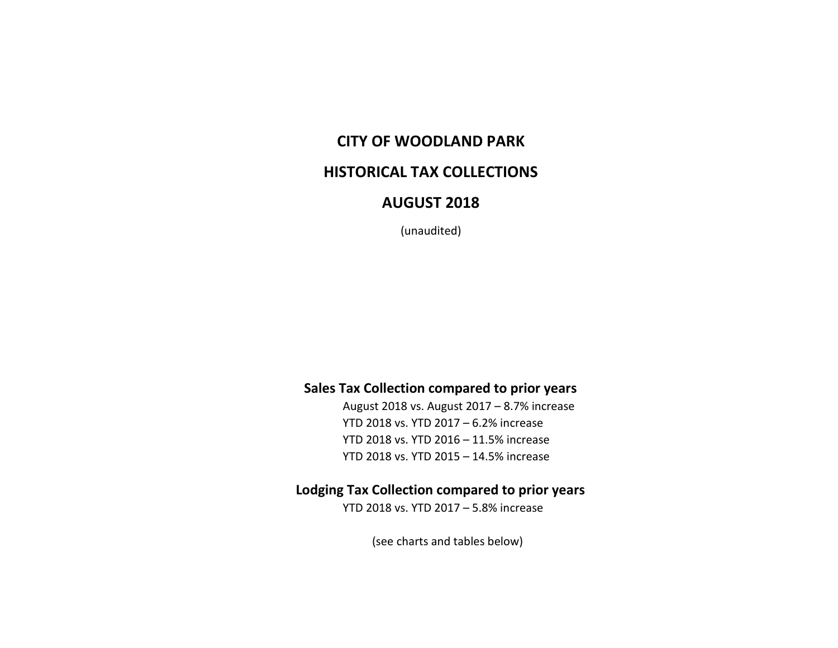# **CITY OF WOODLAND PARK**

## **HISTORICAL TAX COLLECTIONS**

## **AUGUST 2018**

(unaudited)

### **Sales Tax Collection compared to prior years**

August 2018 vs. August 2017 – 8.7% increase YTD 2018 vs. YTD 2017 – 6.2% increase YTD 2018 vs. YTD 2016 – 11.5% increase YTD 2018 vs. YTD 2015 – 14.5% increase

### **Lodging Tax Collection compared to prior years**

YTD 2018 vs. YTD 2017 – 5.8% increase

(see charts and tables below)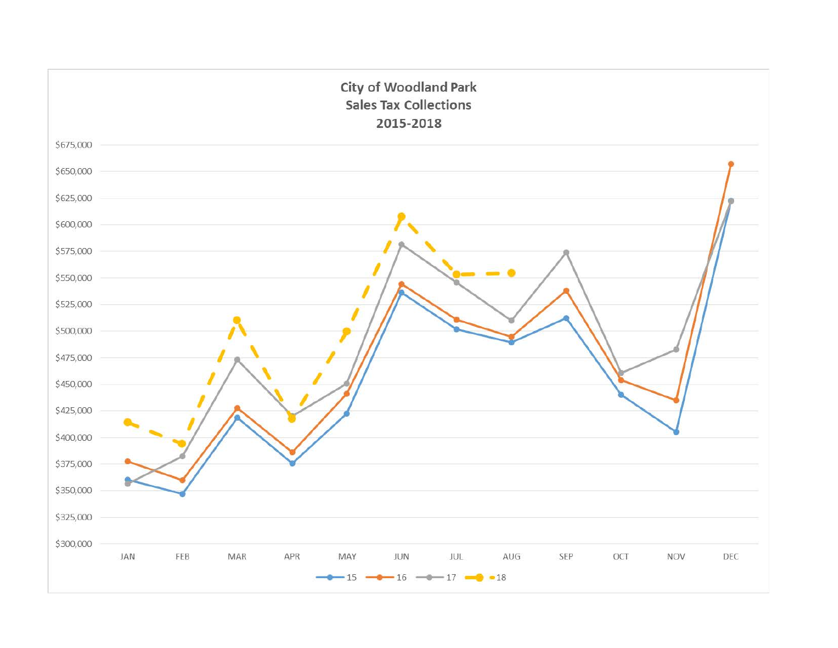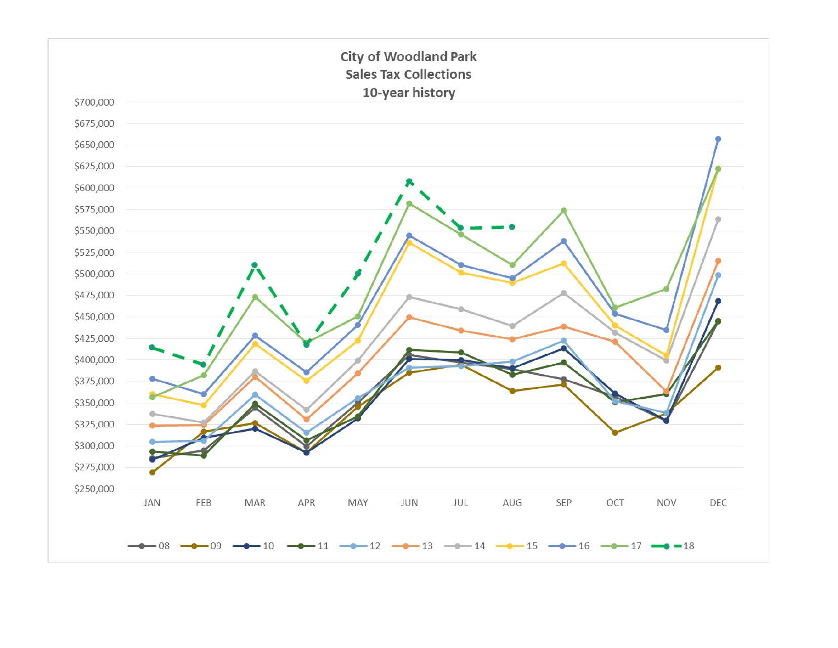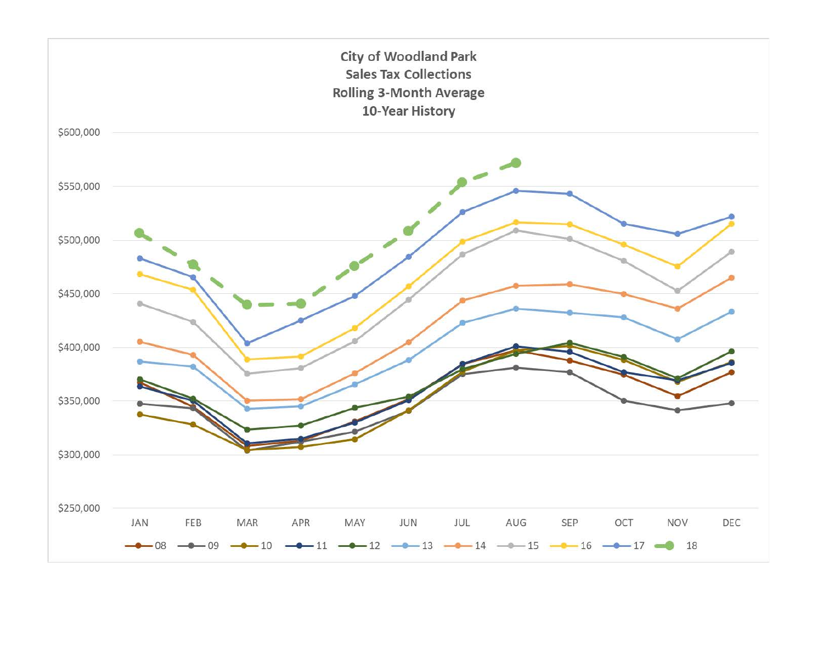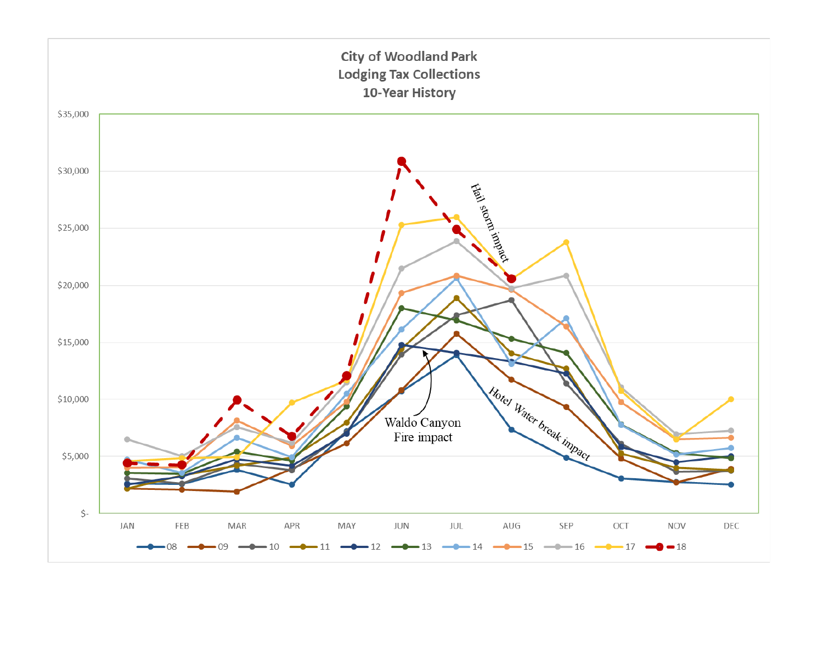